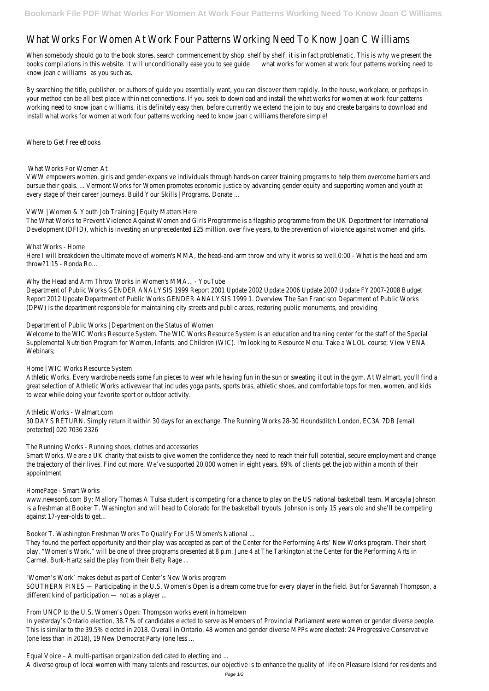## What Works For Women At Work Four Patterns Working Need To Know Joan C V

When somebody should go to the book stores, search commencement by shop, shelf by shelf, it is in fact problematic. The books compilations in this website. It will unconditionally ease what to or to found at work four patterns working nee know joan c williams you such as.

By searching the title, publisher, or authors of guide you essentially want, you can discover them rapidly. In the house, w your method can be all best place within net connections. If you seek to download and install the what works for wome working need to know joan c williams, it is definitely easy then, before currently we extend the join to buy and create bargains to buy and create bargains to buy and create bargains to buy and create bargains to buy and a install what works for women at work four patterns working need to know joan c williams therefore simple!

Why the Head and Arm Throw Works in Women's MMA... - YouTube Department of Public Works GENDER ANALYSIS 1999 Report 2001 Update 2002 Update 2006 Update 2007 Update FY20 Report 2012 Update Department of Public Works GENDER ANALYSIS 1999 1. Overview The San Francisco Department of Public Works (DPW) is the department responsible for maintaining city streets and public areas, restoring public monuments, and prov

Where to Get Free eBooks

What Works For Women At

VWW empowers women, girls and gender-expansive individuals through hands-on career training programs to help them o pursue their goals. ... Vermont Works for Women promotes economic justice by advancing gender equity and supporting w every stage of their career journeys. Build Your Skills | Programs. Donate ...

Welcome to the WIC Works Resource System. The WIC Works Resource System is an education and training center for t Supplemental Nutrition Program for Women, Infants, and Children (WIC). I'm looking to Resource Menu. Take a WLOL cour Webinars;

VWW | Women & Youth Job Training | Equity Matters Here

The What Works to Prevent Violence Against Women and Girls Programme is a flagship programme from the UK Department Development (DFID), which is investing an unprecedented £25 million, over five years, to the prevention of violence again

Athletic Works. Every wardrobe needs some fun pieces to wear while having fun in the sun or sweating it out in the gyr great selection of Athletic Works activewear that includes yoga pants, sports bras, athletic shoes, and comfortable tops to wear while doing your favorite sport or outdoor activity.

30 DAYS RETURN. Simply return it within 30 days for an exchange. The Running Works 28-30 Houndsditch London, EC3A protected] 020 7036 2326

Smart Works. We are a UK charity that exists to give women the confidence they need to reach their full potential, secu the trajectory of their lives. Find out more. We've supported 20,000 women in eight years. 69% of clients get the job w appointment.

What Works - Home Here I will breakdown the ultimate move of women's MMA, the head-and-arm throw and why it works so well.0:00 - Wh throw?1:15 - Ronda Ro...

www.newson6.com By: Mallory Thomas A Tulsa student is competing for a chance to play on the US national basketball is a freshman at Booker T. Washington and will head to Colorado for the basketball tryouts. Johnson is only 15 years old against 17-year-olds to get…

They found the perfect opportunity and their play was accepted as part of the Center for the Performing Arts' New Wor play, "Women's Work," will be one of three programs presented at 8 p.m. June 4 at The Tarkington at the Center for the Carmel. Burk-Hartz said the play from their Betty Rage ...

SOUTHERN PINES - Participating in the U.S. Women's Open is a dream come true for every player in the field. But for Savannah Thompson, and Thompson, and Thompson, and Thompson, and Thompson, and Thompson, and Thompson, and different kind of participation — not as a player ...

Department of Public Works | Department on the Status of Women

In yesterday's Ontario election, 38.7 % of candidates elected to serve as Members of Provincial Parliament were women This is similar to the 39.5% elected in 2018. Overall in Ontario, 48 women and gender diverse MPPs were elected: 24 Pr (one less than in 2018), 19 New Democrat Party (one less ...

Home | WIC Works Resource System

Athletic Works - Walmart.com

The Running Works - Running shoes, clothes and accessories

HomePage - Smart Works

Booker T. Washington Freshman Works To Qualify For US Women's National ...

'Women's Work' makes debut as part of Center's New Works program

From UNCP to the U.S. Women's Open: Thompson works event in hometown

Equal Voice – A multi-partisan organization dedicated to electing and ...

A diverse group of local women with many talents and resources, our objective is to enhance the quality of life on Pleasure